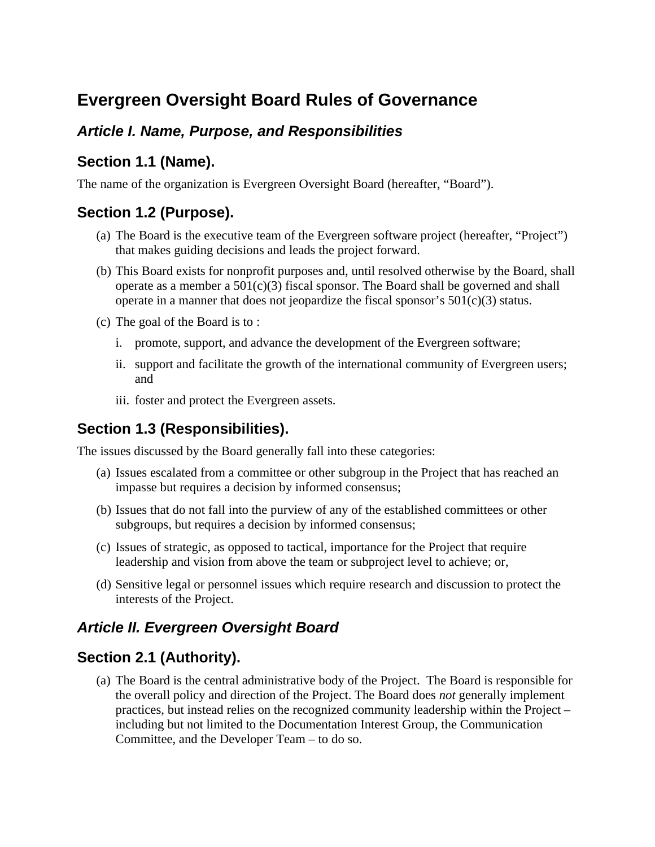# **Evergreen Oversight Board Rules of Governance**

### *Article I. Name, Purpose, and Responsibilities*

### **Section 1.1 (Name).**

The name of the organization is Evergreen Oversight Board (hereafter, "Board").

### **Section 1.2 (Purpose).**

- (a) The Board is the executive team of the Evergreen software project (hereafter, "Project") that makes guiding decisions and leads the project forward.
- (b) This Board exists for nonprofit purposes and, until resolved otherwise by the Board, shall operate as a member a  $501(c)(3)$  fiscal sponsor. The Board shall be governed and shall operate in a manner that does not jeopardize the fiscal sponsor's  $501(c)(3)$  status.
- (c) The goal of the Board is to :
	- i. promote, support, and advance the development of the Evergreen software;
	- ii. support and facilitate the growth of the international community of Evergreen users; and
	- iii. foster and protect the Evergreen assets.

# **Section 1.3 (Responsibilities).**

The issues discussed by the Board generally fall into these categories:

- (a) Issues escalated from a committee or other subgroup in the Project that has reached an impasse but requires a decision by informed consensus;
- (b) Issues that do not fall into the purview of any of the established committees or other subgroups, but requires a decision by informed consensus;
- (c) Issues of strategic, as opposed to tactical, importance for the Project that require leadership and vision from above the team or subproject level to achieve; or,
- (d) Sensitive legal or personnel issues which require research and discussion to protect the interests of the Project.

### *Article II. Evergreen Oversight Board*

### **Section 2.1 (Authority).**

(a) The Board is the central administrative body of the Project. The Board is responsible for the overall policy and direction of the Project. The Board does *not* generally implement practices, but instead relies on the recognized community leadership within the Project – including but not limited to the Documentation Interest Group, the Communication Committee, and the Developer Team – to do so.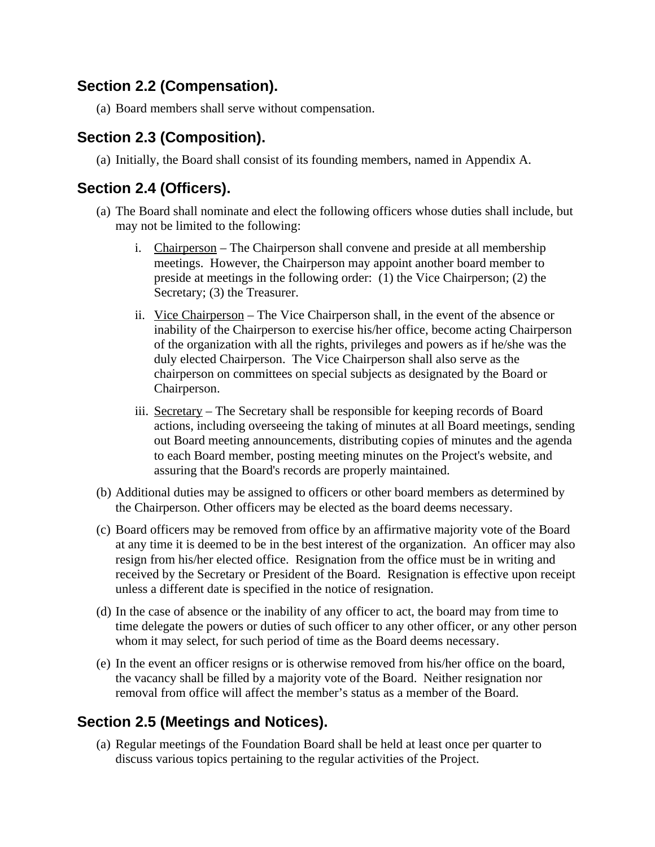### **Section 2.2 (Compensation).**

(a) Board members shall serve without compensation.

# **Section 2.3 (Composition).**

(a) Initially, the Board shall consist of its founding members, named in Appendix A.

### **Section 2.4 (Officers).**

- (a) The Board shall nominate and elect the following officers whose duties shall include, but may not be limited to the following:
	- i. Chairperson The Chairperson shall convene and preside at all membership meetings. However, the Chairperson may appoint another board member to preside at meetings in the following order: (1) the Vice Chairperson; (2) the Secretary; (3) the Treasurer.
	- ii. Vice Chairperson The Vice Chairperson shall, in the event of the absence or inability of the Chairperson to exercise his/her office, become acting Chairperson of the organization with all the rights, privileges and powers as if he/she was the duly elected Chairperson. The Vice Chairperson shall also serve as the chairperson on committees on special subjects as designated by the Board or Chairperson.
	- iii. Secretary The Secretary shall be responsible for keeping records of Board actions, including overseeing the taking of minutes at all Board meetings, sending out Board meeting announcements, distributing copies of minutes and the agenda to each Board member, posting meeting minutes on the Project's website, and assuring that the Board's records are properly maintained.
- (b) Additional duties may be assigned to officers or other board members as determined by the Chairperson. Other officers may be elected as the board deems necessary.
- (c) Board officers may be removed from office by an affirmative majority vote of the Board at any time it is deemed to be in the best interest of the organization. An officer may also resign from his/her elected office. Resignation from the office must be in writing and received by the Secretary or President of the Board. Resignation is effective upon receipt unless a different date is specified in the notice of resignation.
- (d) In the case of absence or the inability of any officer to act, the board may from time to time delegate the powers or duties of such officer to any other officer, or any other person whom it may select, for such period of time as the Board deems necessary.
- (e) In the event an officer resigns or is otherwise removed from his/her office on the board, the vacancy shall be filled by a majority vote of the Board. Neither resignation nor removal from office will affect the member's status as a member of the Board.

# **Section 2.5 (Meetings and Notices).**

(a) Regular meetings of the Foundation Board shall be held at least once per quarter to discuss various topics pertaining to the regular activities of the Project.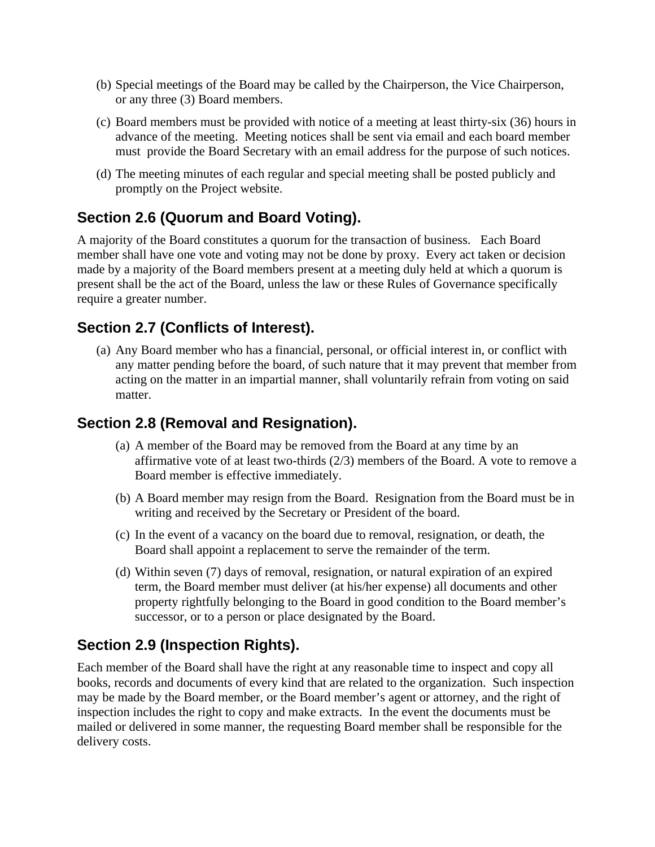- (b) Special meetings of the Board may be called by the Chairperson, the Vice Chairperson, or any three (3) Board members.
- (c) Board members must be provided with notice of a meeting at least thirty-six (36) hours in advance of the meeting. Meeting notices shall be sent via email and each board member must provide the Board Secretary with an email address for the purpose of such notices.
- (d) The meeting minutes of each regular and special meeting shall be posted publicly and promptly on the Project website.

# **Section 2.6 (Quorum and Board Voting).**

A majority of the Board constitutes a quorum for the transaction of business. Each Board member shall have one vote and voting may not be done by proxy. Every act taken or decision made by a majority of the Board members present at a meeting duly held at which a quorum is present shall be the act of the Board, unless the law or these Rules of Governance specifically require a greater number.

### **Section 2.7 (Conflicts of Interest).**

(a) Any Board member who has a financial, personal, or official interest in, or conflict with any matter pending before the board, of such nature that it may prevent that member from acting on the matter in an impartial manner, shall voluntarily refrain from voting on said matter.

#### **Section 2.8 (Removal and Resignation).**

- (a) A member of the Board may be removed from the Board at any time by an affirmative vote of at least two-thirds (2/3) members of the Board. A vote to remove a Board member is effective immediately.
- (b) A Board member may resign from the Board. Resignation from the Board must be in writing and received by the Secretary or President of the board.
- (c) In the event of a vacancy on the board due to removal, resignation, or death, the Board shall appoint a replacement to serve the remainder of the term.
- (d) Within seven (7) days of removal, resignation, or natural expiration of an expired term, the Board member must deliver (at his/her expense) all documents and other property rightfully belonging to the Board in good condition to the Board member's successor, or to a person or place designated by the Board.

### **Section 2.9 (Inspection Rights).**

Each member of the Board shall have the right at any reasonable time to inspect and copy all books, records and documents of every kind that are related to the organization. Such inspection may be made by the Board member, or the Board member's agent or attorney, and the right of inspection includes the right to copy and make extracts. In the event the documents must be mailed or delivered in some manner, the requesting Board member shall be responsible for the delivery costs.